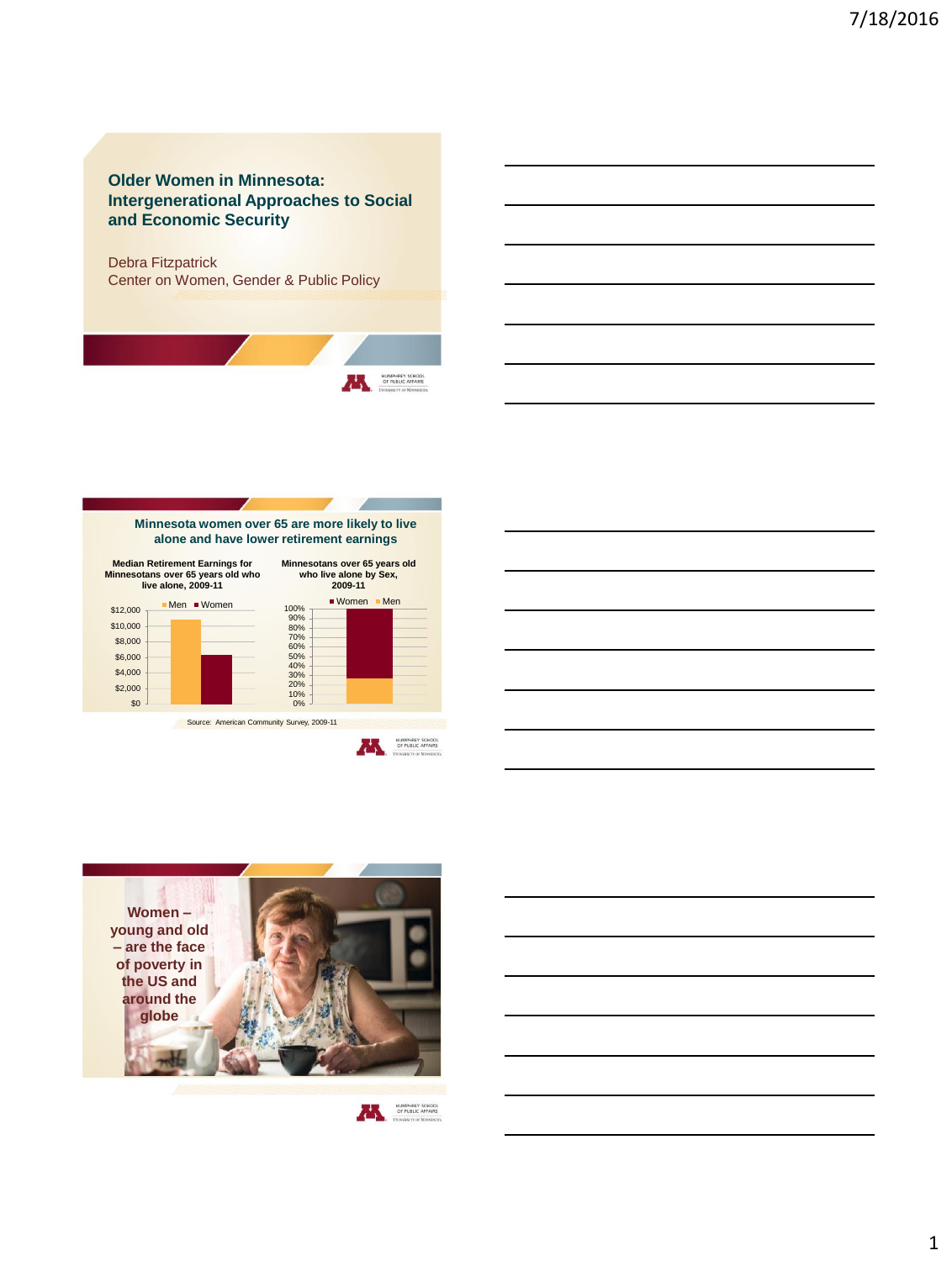## **Older Women in Minnesota: Intergenerational Approaches to Social and Economic Security**

Debra Fitzpatrick Center on Women, Gender & Public Policy



**Minnesota women over 65 are more likely to live alone and have lower retirement earnings**









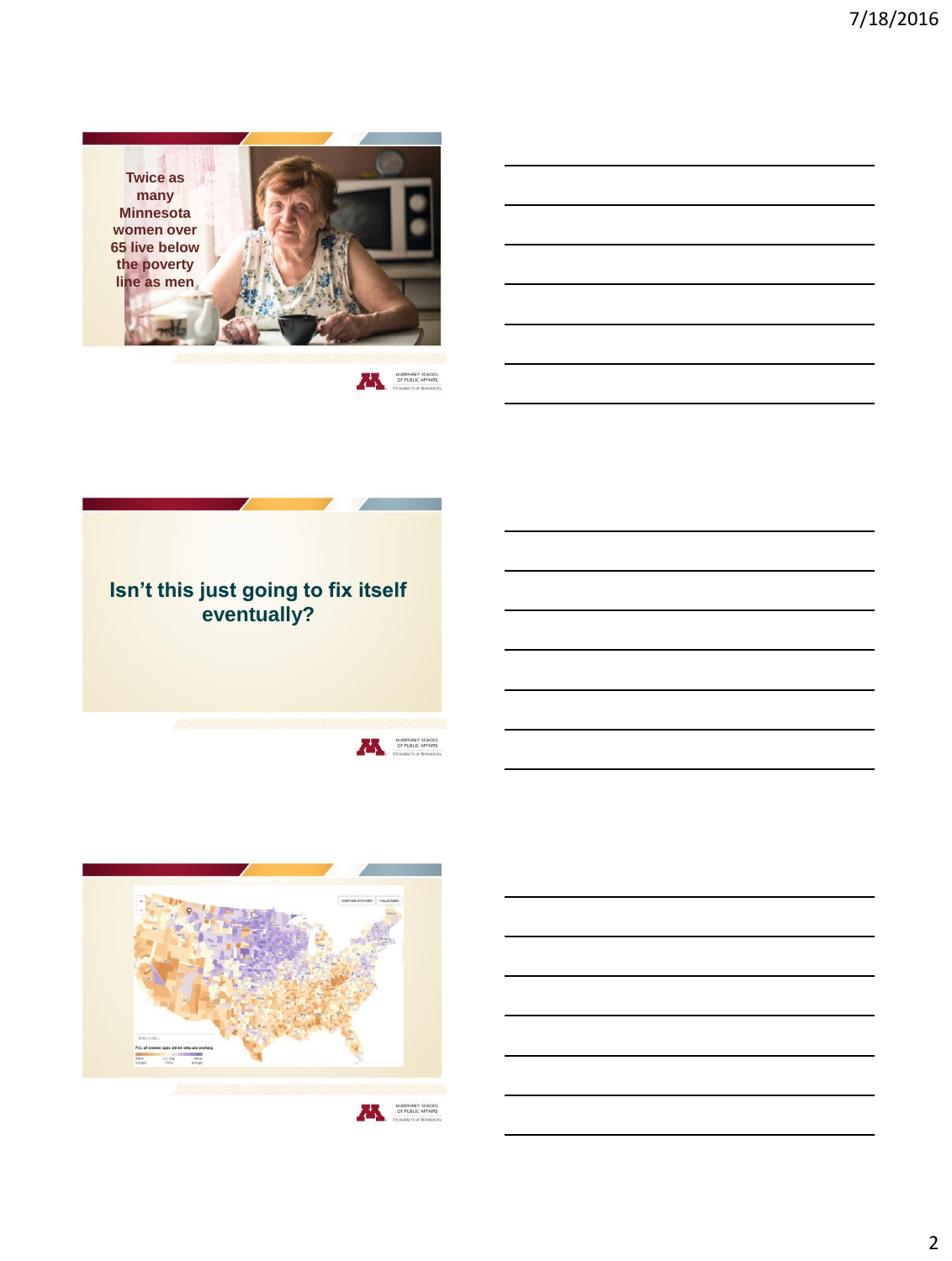



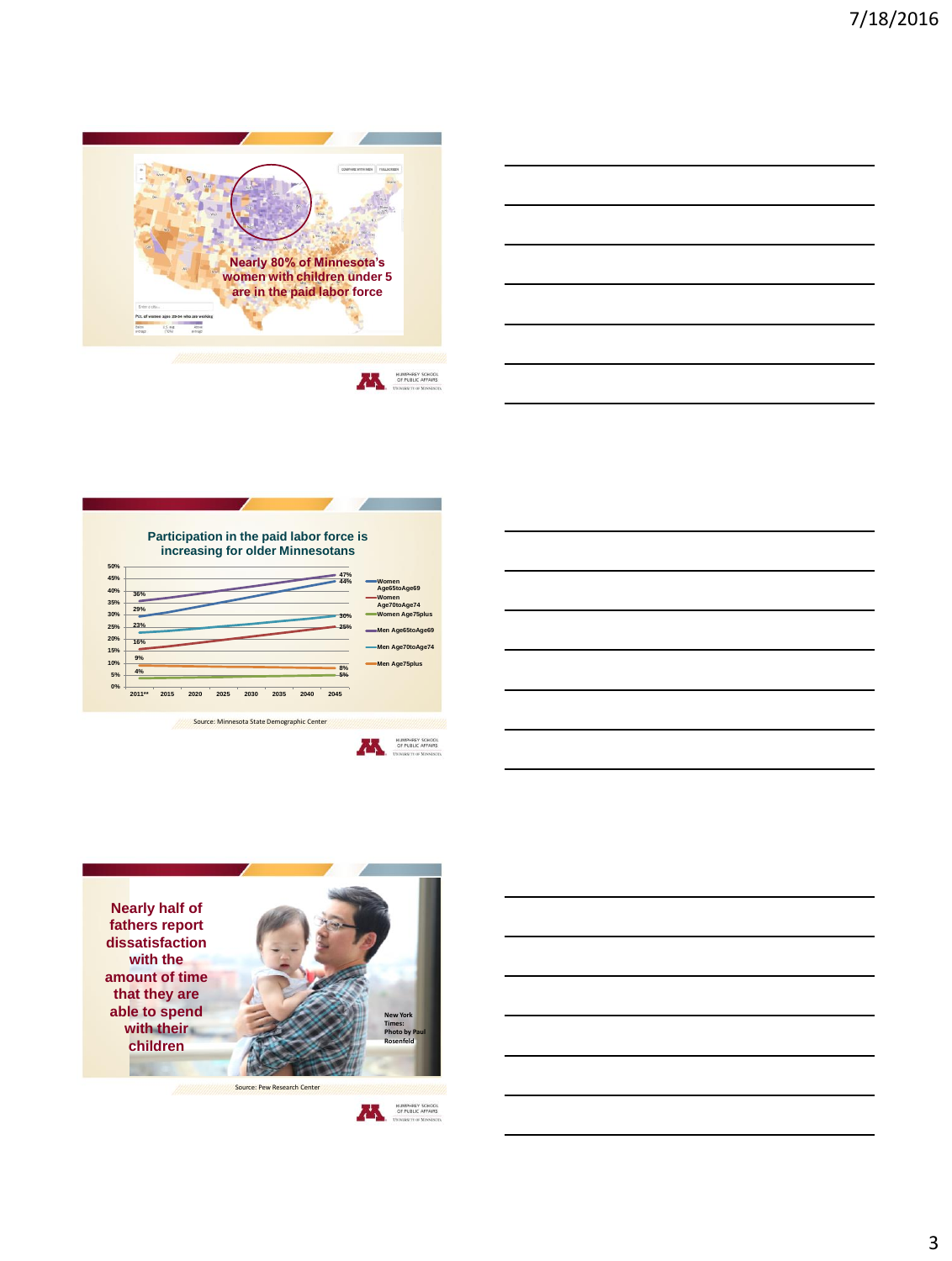

| <u> 1989 - Andrea Andrew Maria (h. 1989).</u>                                                                         |  |  |
|-----------------------------------------------------------------------------------------------------------------------|--|--|
|                                                                                                                       |  |  |
| <u> 1989 - Johann Stoff, deutscher Stoffen und der Stoffen und der Stoffen und der Stoffen und der Stoffen und de</u> |  |  |
| <u> 1989 - Johann Stoff, amerikansk politiker (d. 1989)</u>                                                           |  |  |
| <u> 1989 - Johann Stoff, amerikansk politiker (d. 1989)</u>                                                           |  |  |
|                                                                                                                       |  |  |







HUMPHREY SCHOOL OF PUBLIC AFFAIRS



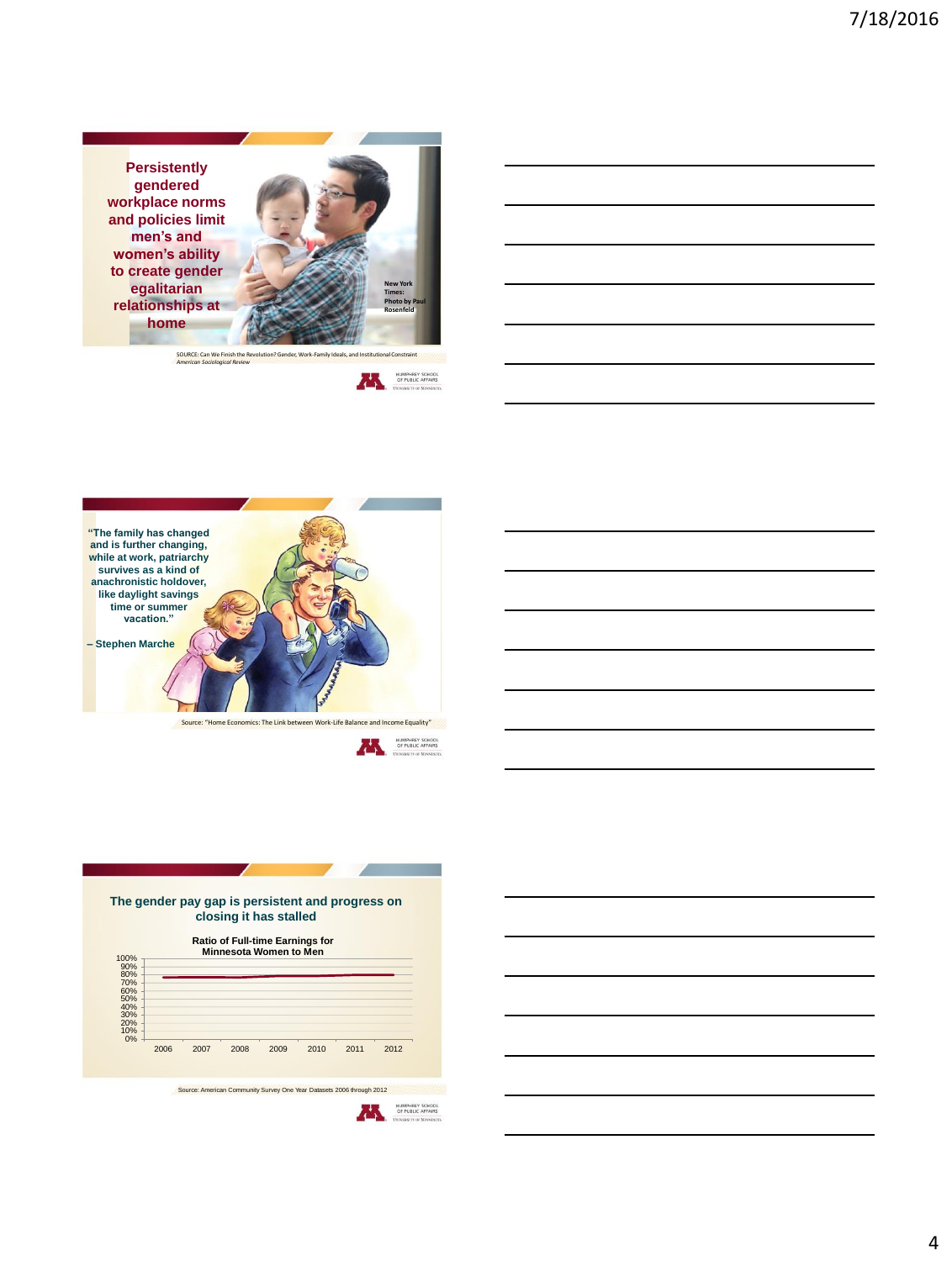**Persistently gendered workplace norms and policies limit men's and women's ability to create gender egalitarian relationships at home**









HUMPHREY SCHOOL OF PUBLIC AFFAIRS



## **Ratio of Full-time Earnings for Minnesota Women to Men**

| 70%<br>60%<br>50% |      |      |      |      |      |      |
|-------------------|------|------|------|------|------|------|
| 40%<br>30%<br>20% |      |      |      |      |      |      |
| 10%<br>0%<br>2006 | 2007 | 2008 | 2009 | 2010 | 2011 | 2012 |
|                   |      |      |      |      |      |      |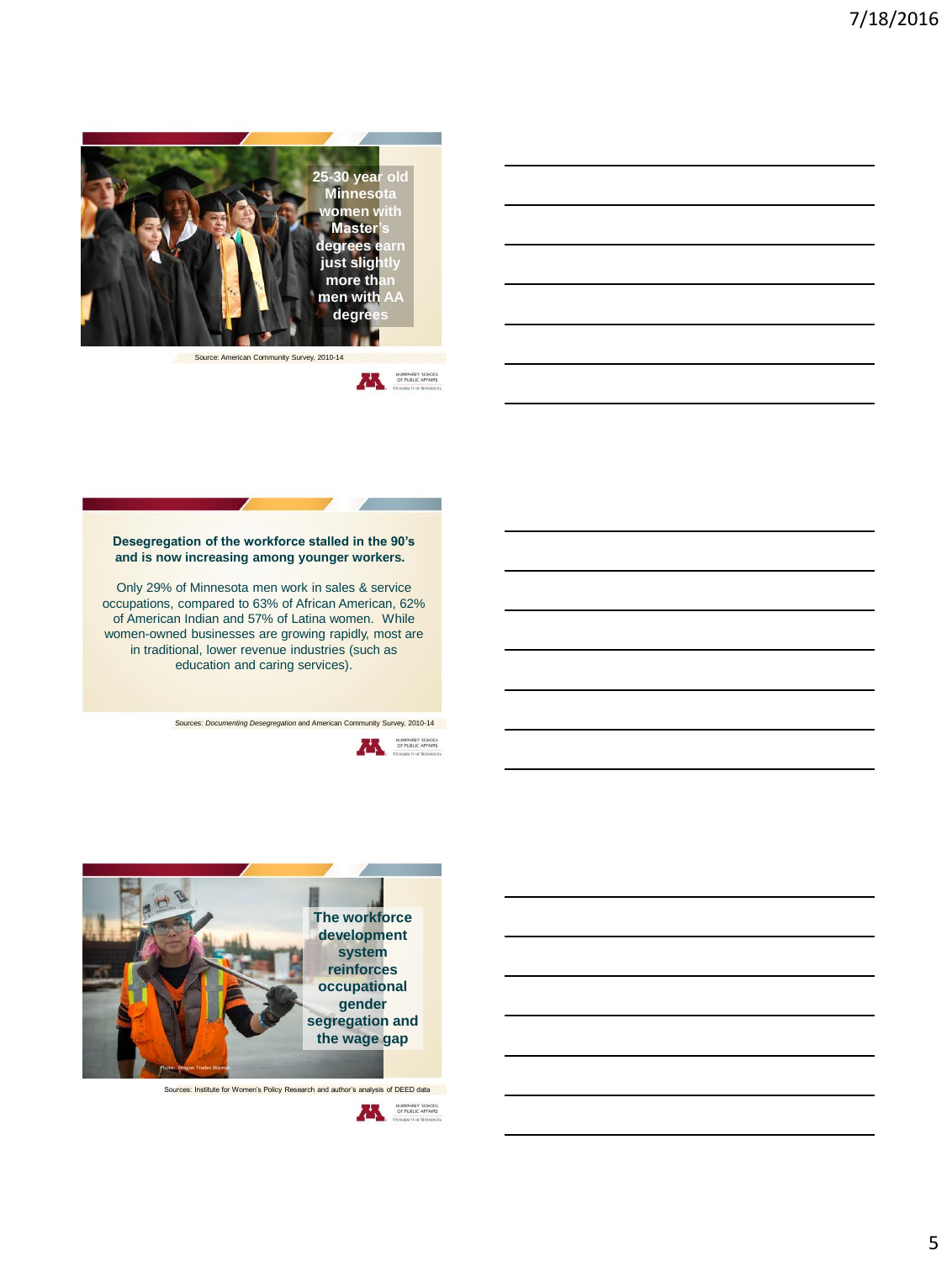

Source: American Community Survey, 2010-14



## **Desegregation of the workforce stalled in the 90's and is now increasing among younger workers.**

Only 29% of Minnesota men work in sales & service occupations, compared to 63% of African American, 62% of American Indian and 57% of Latina women. While women-owned businesses are growing rapidly, most are in traditional, lower revenue industries (such as education and caring services).

s: *Documenting Desegregation* and American Community Survey, 2010-14





Sources: Institute for Women's Policy Research and author's analysis of DEED data

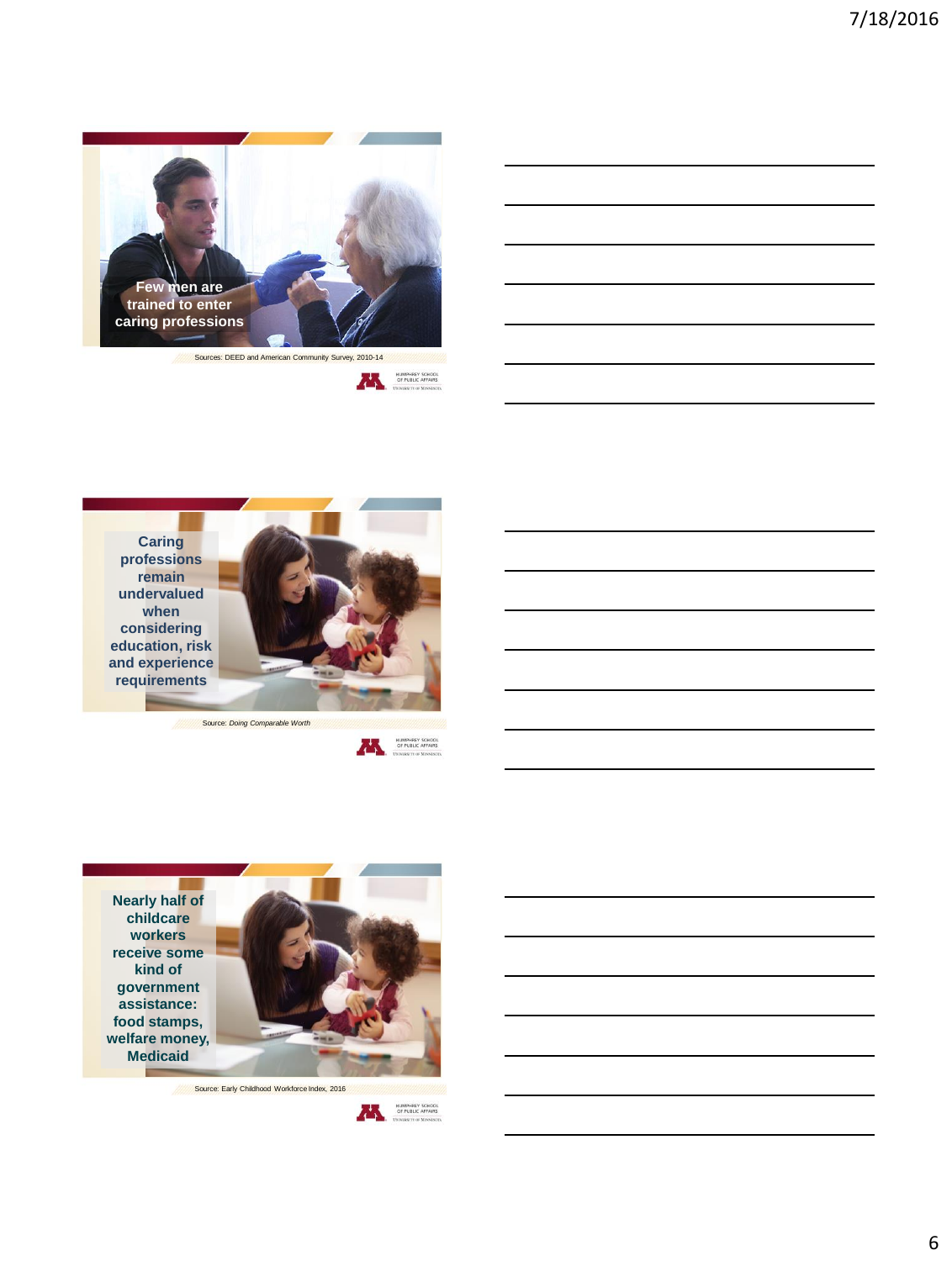









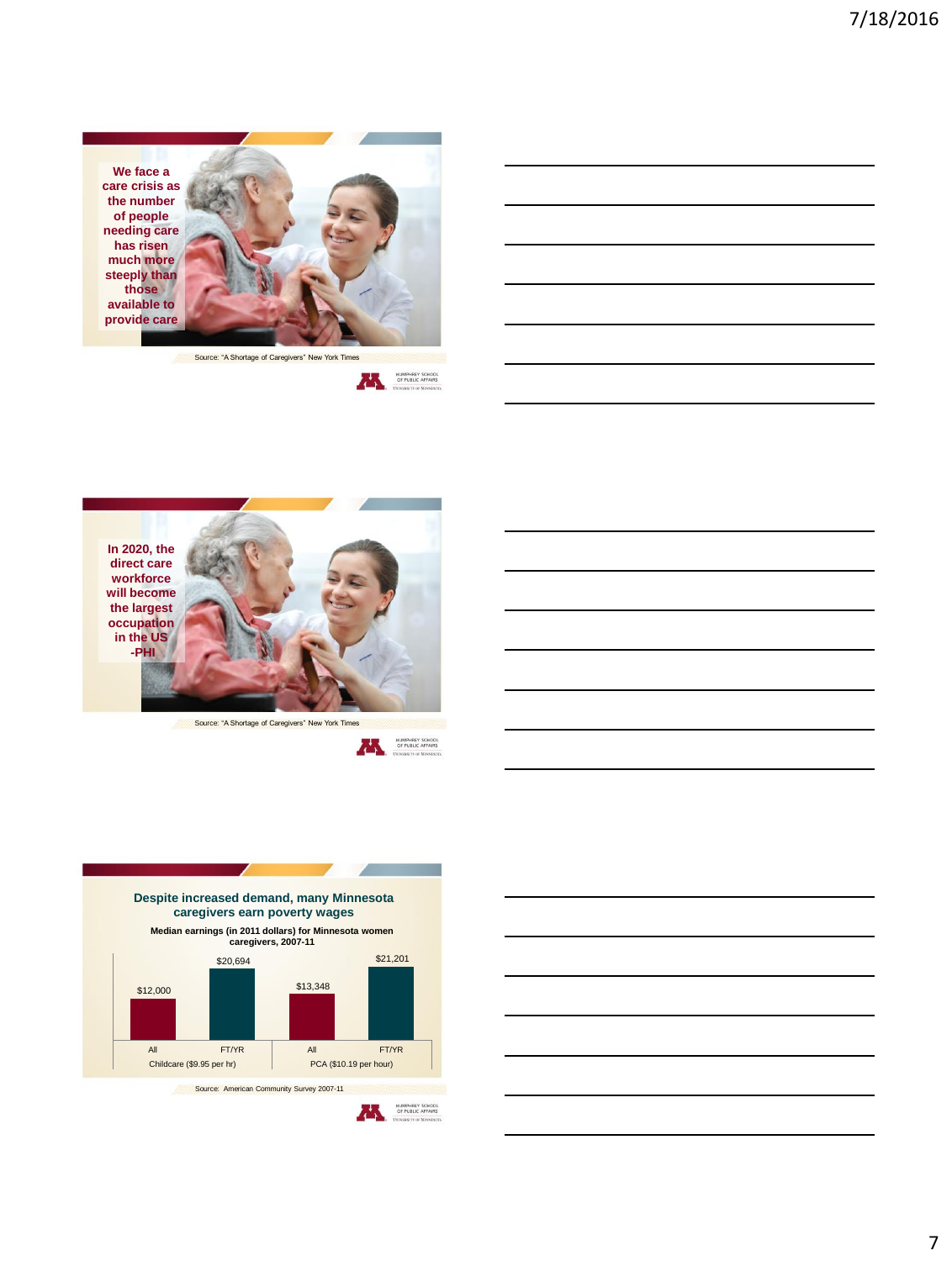







Source: "A Shortage of Caregivers" New York Times





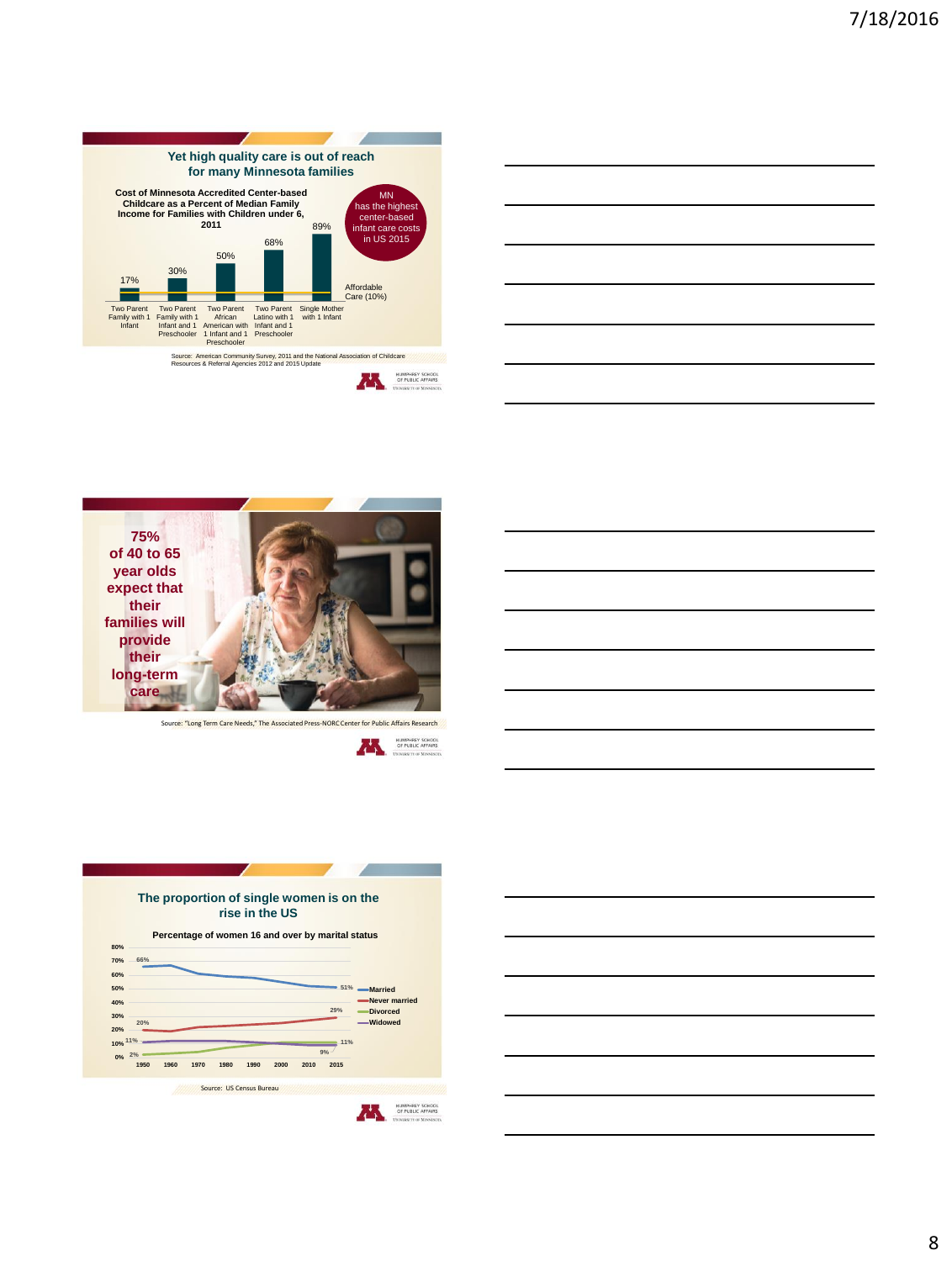

|                                                             |  | <u> 1989 - Johann Barn, mars ann an t-Amhain ann an t-Amhain ann an t-Amhain ann an t-Amhain an t-Amhain ann an t-</u> |
|-------------------------------------------------------------|--|------------------------------------------------------------------------------------------------------------------------|
|                                                             |  | <u> 1989 - Johann Barn, mars ann an t-Amhain ann an t-Amhain ann an t-Amhain ann an t-Amhain an t-Amhain ann an t-</u> |
|                                                             |  | <u> 1989 - Johann Barn, mars ann an t-Amhainn an t-Amhainn an t-Amhainn an t-Amhainn an t-Amhainn an t-Amhainn an </u> |
| <u> 1989 - Johann Stoff, amerikansk politiker (d. 1989)</u> |  |                                                                                                                        |
|                                                             |  | <u> 1989 - Johann Barn, mars ann an t-Amhain ann an t-Amhain ann an t-Amhain ann an t-Amhain an t-Amhain ann an t-</u> |
|                                                             |  |                                                                                                                        |



Source: "Long Term Care Needs," The Associated Press-NORC Center for Public Affairs Research





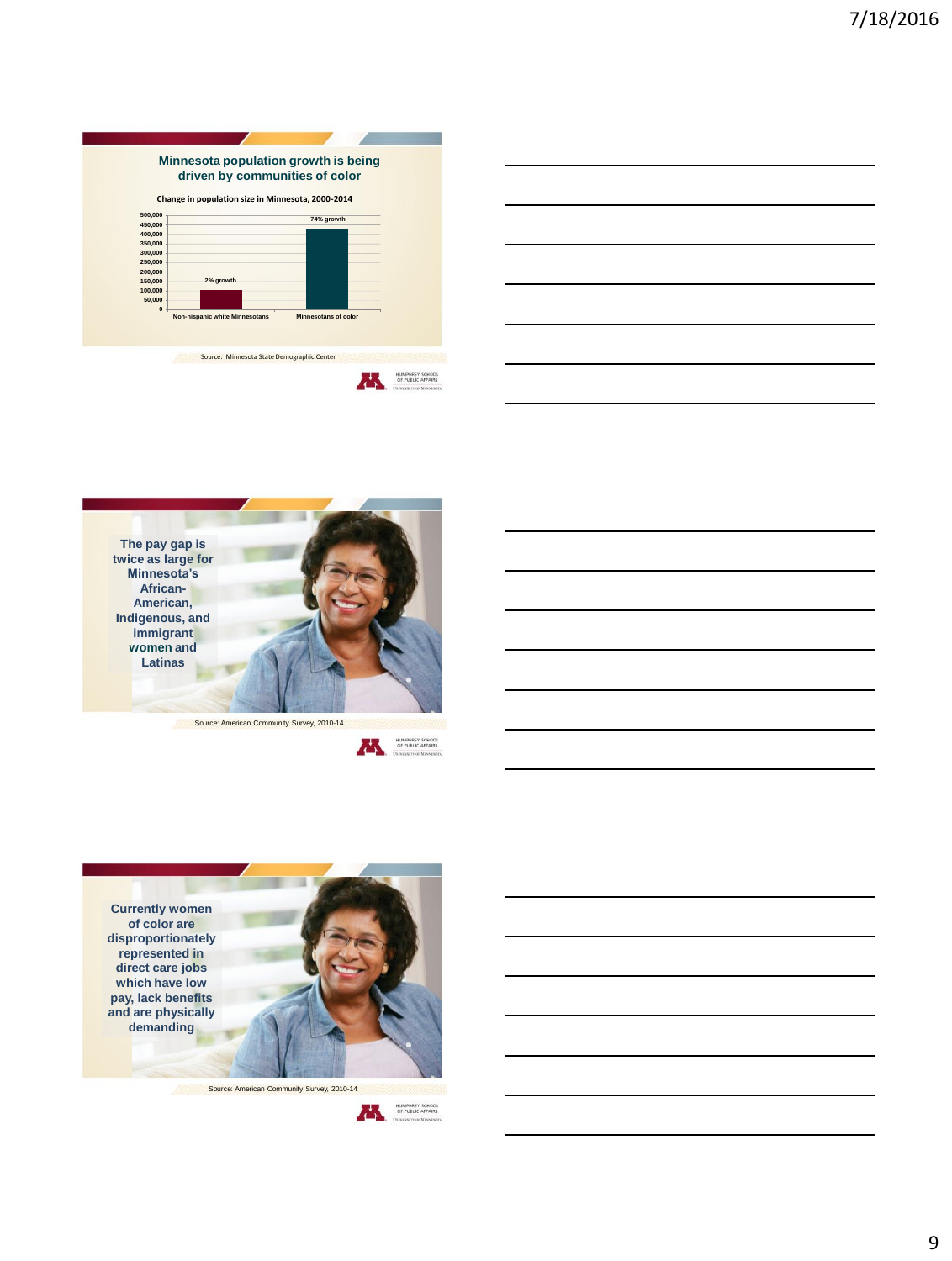





Source: American Community Survey, 2010-14





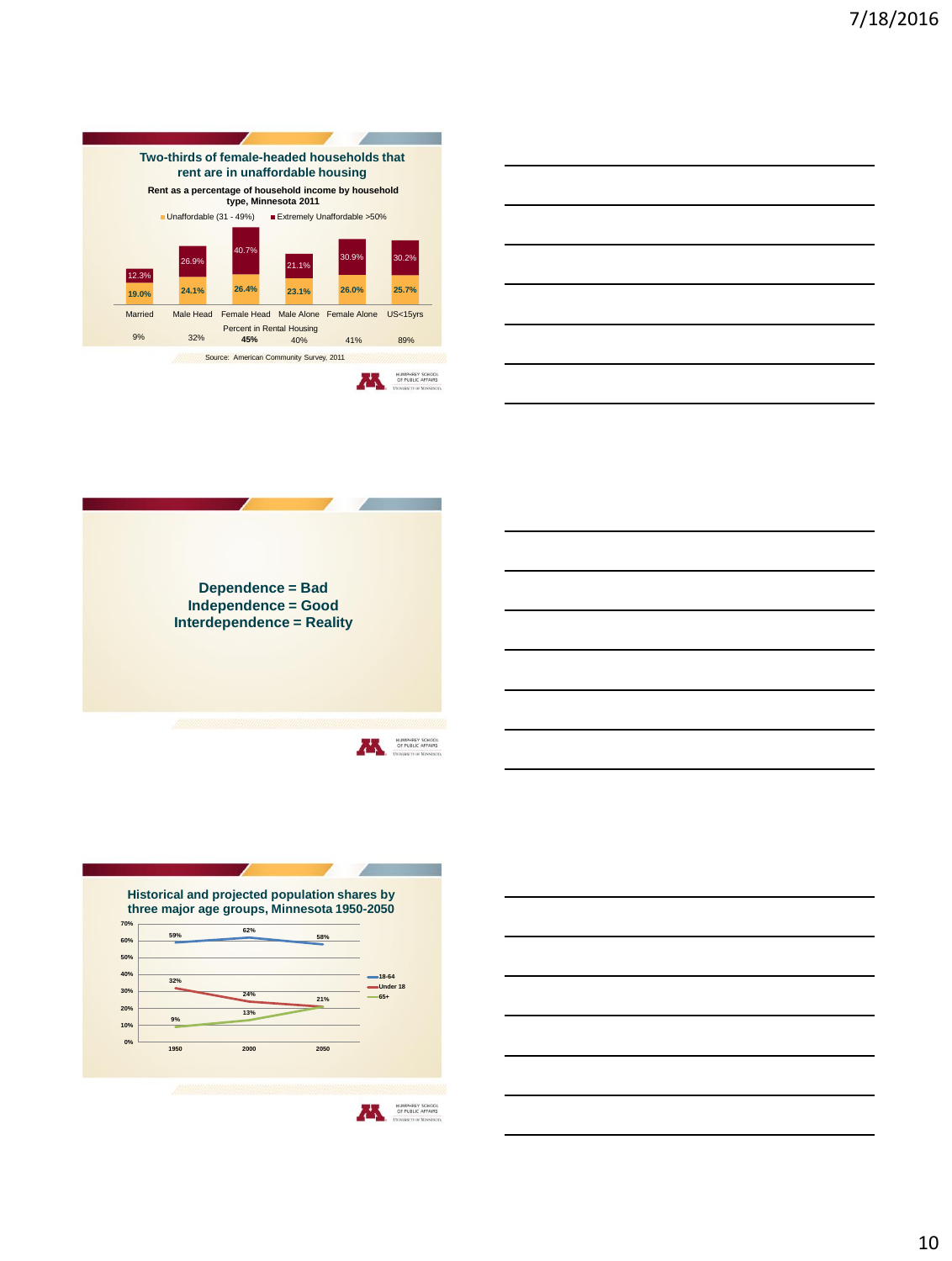







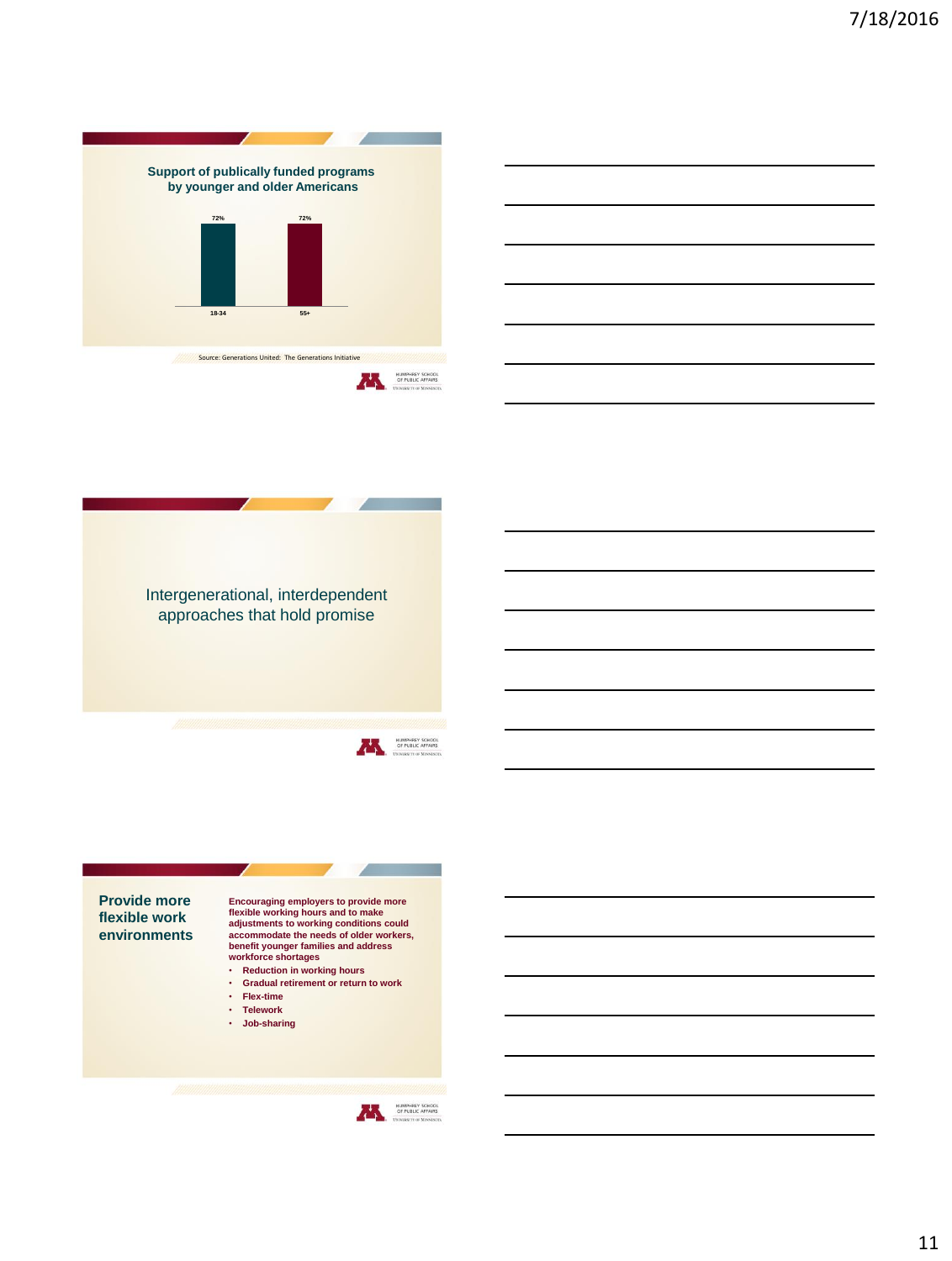





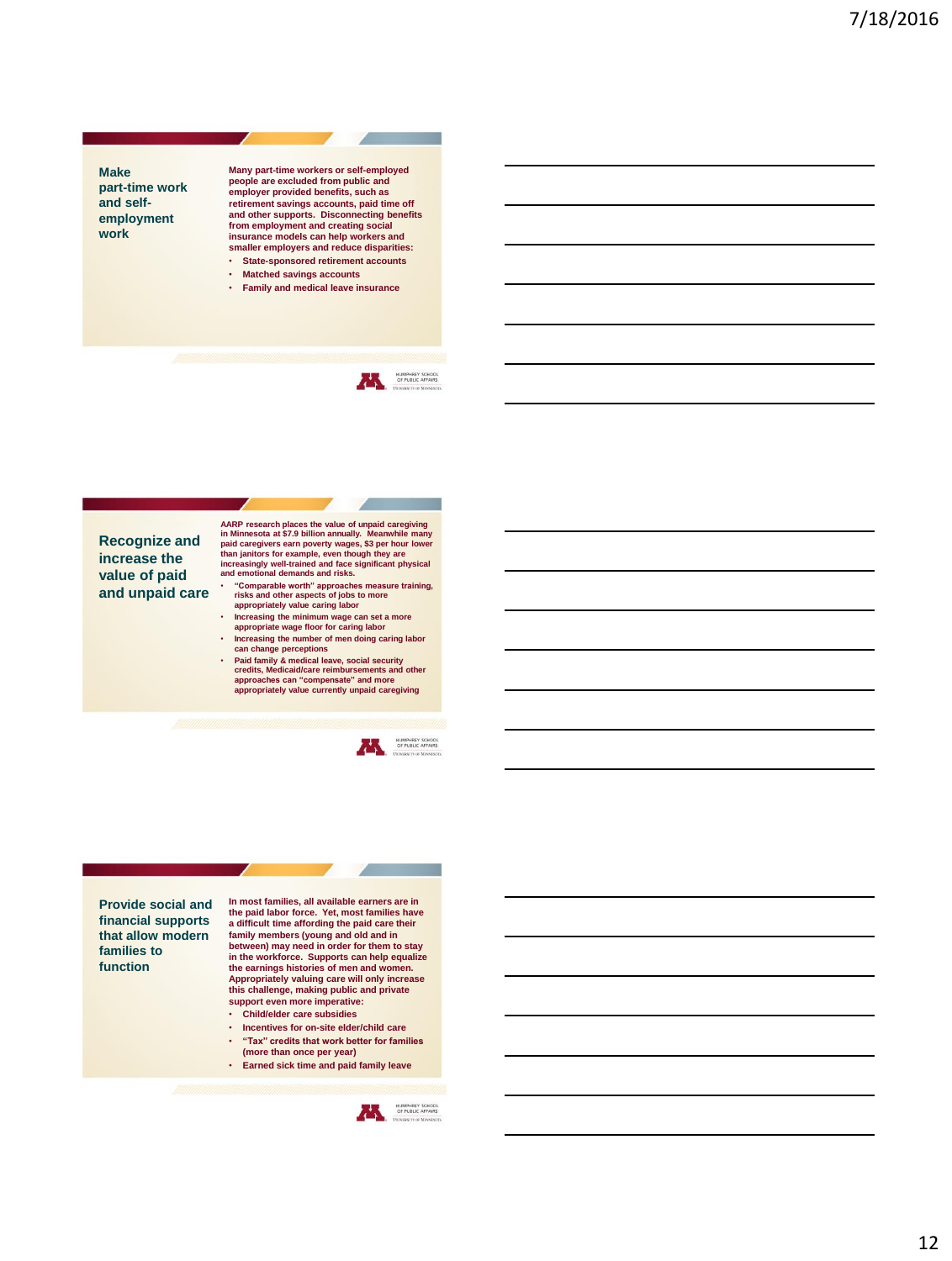

**Many part-time workers or self-employed people are excluded from public and employer provided benefits, such as retirement savings accounts, paid time off and other supports. Disconnecting benefits from employment and creating social insurance models can help workers and smaller employers and reduce disparities:**

- **State-sponsored retirement accounts** • **Matched savings accounts**
- **Family and medical leave insurance**



**Recognize and increase the value of paid and unpaid care** AARP research places the value of unpaid caregiving<br>in Minnesota at \$7.9 billion annually. Meanwhile many<br>paid caregivers earn poverty wages, \$3 per hour lower<br>than janitors for example, even though they are<br>increasingly w

- **"Comparable worth" approaches measure training, risks and other aspects of jobs to more appropriately value caring labor**
- **Increasing the minimum wage can set a more appropriate wage floor for caring labor**
- **Increasing the number of men doing caring labor can change perceptions**
- **Paid family & medical leave, social security credits, Medicaid/care reimbursements and other approaches can "compensate" and more appropriately value currently unpaid caregiving**





**In most families, all available earners are in the paid labor force. Yet, most families have a difficult time affording the paid care their family members (young and old and in between) may need in order for them to stay in the workforce. Supports can help equalize the earnings histories of men and women. Appropriately valuing care will only increase this challenge, making public and private support even more imperative:** • **Child/elder care subsidies**

- **Incentives for on-site elder/child care**
- **"Tax" credits that work better for families (more than once per year)**
- **Earned sick time and paid family leave**